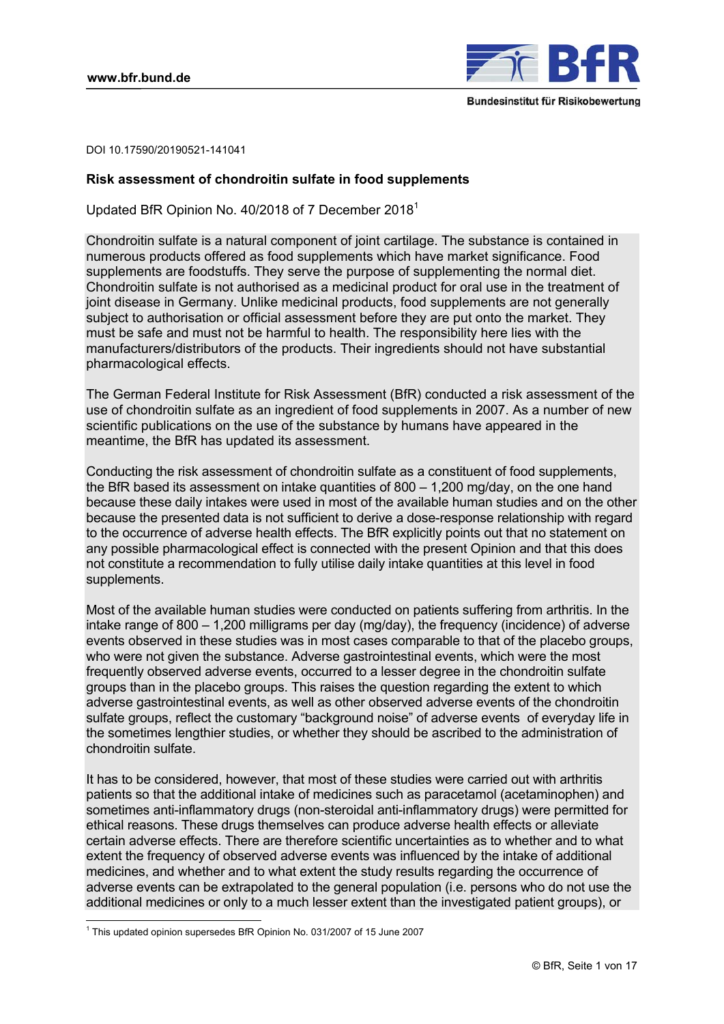

DOI 10.17590/20190521-141041

## **Risk assessment of chondroitin sulfate in food supplements**

Updated BfR Opinion No. 40/2018 of 7 December 2018[1](#page-1-0)

Chondroitin sulfate is a natural component of joint cartilage. The substance is contained in numerous products offered as food supplements which have market significance. Food supplements are foodstuffs. They serve the purpose of supplementing the normal diet. Chondroitin sulfate is not authorised as a medicinal product for oral use in the treatment of joint disease in Germany. Unlike medicinal products, food supplements are not generally subject to authorisation or official assessment before they are put onto the market. They must be safe and must not be harmful to health. The responsibility here lies with the manufacturers/distributors of the products. Their ingredients should not have substantial pharmacological effects.

The German Federal Institute for Risk Assessment (BfR) conducted a risk assessment of the use of chondroitin sulfate as an ingredient of food supplements in 2007. As a number of new scientific publications on the use of the substance by humans have appeared in the meantime, the BfR has updated its assessment.

Conducting the risk assessment of chondroitin sulfate as a constituent of food supplements, the BfR based its assessment on intake quantities of 800 – 1,200 mg/day, on the one hand because these daily intakes were used in most of the available human studies and on the other because the presented data is not sufficient to derive a dose-response relationship with regard to the occurrence of adverse health effects. The BfR explicitly points out that no statement on any possible pharmacological effect is connected with the present Opinion and that this does not constitute a recommendation to fully utilise daily intake quantities at this level in food supplements.

Most of the available human studies were conducted on patients suffering from arthritis. In the intake range of 800 – 1,200 milligrams per day (mg/day), the frequency (incidence) of adverse events observed in these studies was in most cases comparable to that of the placebo groups, who were not given the substance. Adverse gastrointestinal events, which were the most frequently observed adverse events, occurred to a lesser degree in the chondroitin sulfate groups than in the placebo groups. This raises the question regarding the extent to which adverse gastrointestinal events, as well as other observed adverse events of the chondroitin sulfate groups, reflect the customary "background noise" of adverse events of everyday life in the sometimes lengthier studies, or whether they should be ascribed to the administration of chondroitin sulfate.

It has to be considered, however, that most of these studies were carried out with arthritis patients so that the additional intake of medicines such as paracetamol (acetaminophen) and sometimes anti-inflammatory drugs (non-steroidal anti-inflammatory drugs) were permitted for ethical reasons. These drugs themselves can produce adverse health effects or alleviate certain adverse effects. There are therefore scientific uncertainties as to whether and to what extent the frequency of observed adverse events was influenced by the intake of additional medicines, and whether and to what extent the study results regarding the occurrence of adverse events can be extrapolated to the general population (i.e. persons who do not use the additional medicines or only to a much lesser extent than the investigated patient groups), or

-

<sup>&</sup>lt;sup>1</sup> This updated opinion supersedes BfR Opinion No. 031/2007 of 15 June 2007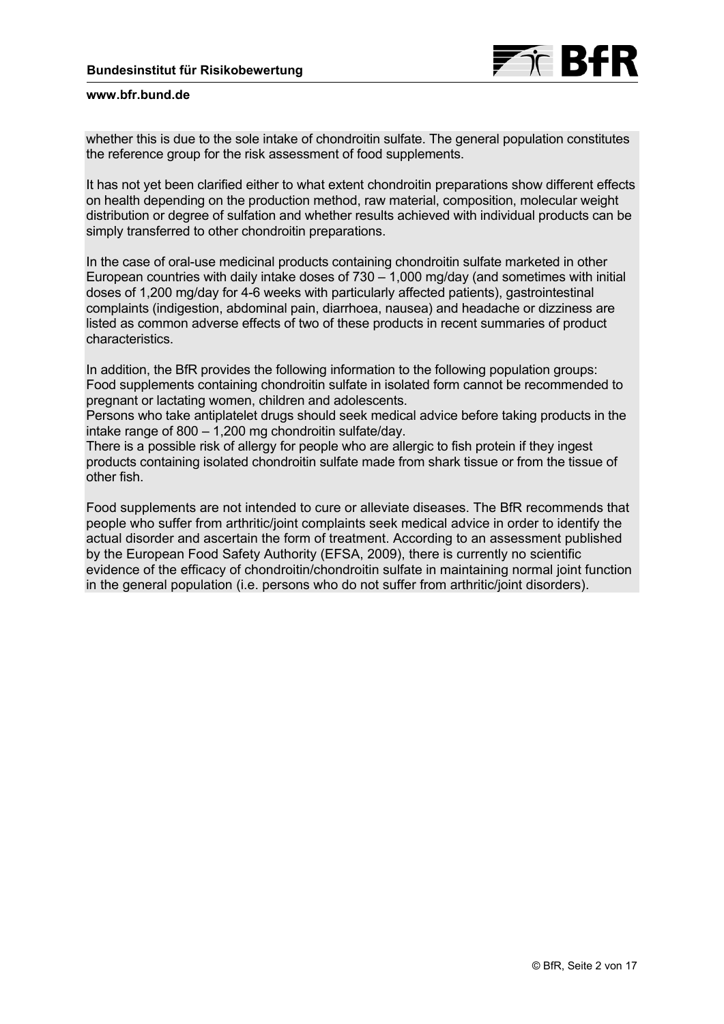<span id="page-1-0"></span>whether this is due to the sole intake of chondroitin sulfate. The general population constitutes the reference group for the risk assessment of food supplements.

It has not yet been clarified either to what extent chondroitin preparations show different effects on health depending on the production method, raw material, composition, molecular weight distribution or degree of sulfation and whether results achieved with individual products can be simply transferred to other chondroitin preparations.

In the case of oral-use medicinal products containing chondroitin sulfate marketed in other European countries with daily intake doses of  $730 - 1,000$  mg/day (and sometimes with initial doses of 1,200 mg/day for 4-6 weeks with particularly affected patients), gastrointestinal complaints (indigestion, abdominal pain, diarrhoea, nausea) and headache or dizziness are listed as common adverse effects of two of these products in recent summaries of product characteristics.

In addition, the BfR provides the following information to the following population groups: Food supplements containing chondroitin sulfate in isolated form cannot be recommended to pregnant or lactating women, children and adolescents.

Persons who take antiplatelet drugs should seek medical advice before taking products in the intake range of 800 – 1,200 mg chondroitin sulfate/day.

There is a possible risk of allergy for people who are allergic to fish protein if they ingest products containing isolated chondroitin sulfate made from shark tissue or from the tissue of other fish.

Food supplements are not intended to cure or alleviate diseases. The BfR recommends that people who suffer from arthritic/joint complaints seek medical advice in order to identify the actual disorder and ascertain the form of treatment. According to an assessment published by the European Food Safety Authority (EFSA, 2009), there is currently no scientific evidence of the efficacy of chondroitin/chondroitin sulfate in maintaining normal joint function in the general population (i.e. persons who do not suffer from arthritic/joint disorders).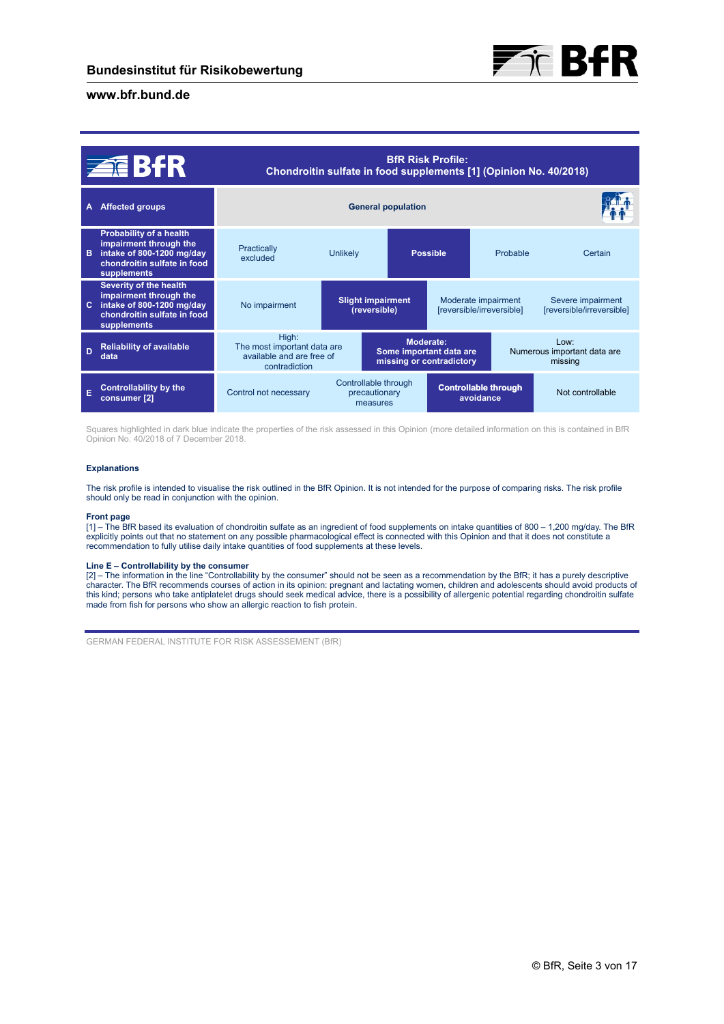

| <b>ZEBFR</b>   |                                                                                                                              | <b>BfR Risk Profile:</b><br>Chondroitin sulfate in food supplements [1] (Opinion No. 40/2018) |                                                                  |                 |                                                  |                                                   |                                                |
|----------------|------------------------------------------------------------------------------------------------------------------------------|-----------------------------------------------------------------------------------------------|------------------------------------------------------------------|-----------------|--------------------------------------------------|---------------------------------------------------|------------------------------------------------|
| A              | <b>Affected groups</b>                                                                                                       | <b>General population</b>                                                                     |                                                                  |                 |                                                  |                                                   |                                                |
| в.             | Probability of a health<br>impairment through the<br>intake of 800-1200 mg/day<br>chondroitin sulfate in food<br>supplements | Practically<br>excluded                                                                       | <b>Unlikely</b>                                                  | <b>Possible</b> |                                                  | Probable                                          | Certain                                        |
| C.             | Severity of the health<br>impairment through the<br>intake of 800-1200 mg/day<br>chondroitin sulfate in food<br>supplements  | No impairment                                                                                 | <b>Slight impairment</b><br>(reversible)                         |                 | Moderate impairment<br>[reversible/irreversible] |                                                   | Severe impairment<br>[reversible/irreversible] |
| $\overline{D}$ | <b>Reliability of available</b><br>data                                                                                      | High:<br>The most important data are<br>available and are free of<br>contradiction            | Moderate:<br>Some important data are<br>missing or contradictory |                 |                                                  | $1$ OW:<br>Numerous important data are<br>missing |                                                |
|                | <b>Controllability by the</b><br>consumer <sup>[2]</sup>                                                                     | Control not necessary                                                                         | Controllable through<br>precautionary<br>measures                |                 | <b>Controllable through</b><br>avoidance         |                                                   | Not controllable                               |

Squares highlighted in dark blue indicate the properties of the risk assessed in this Opinion (more detailed information on this is contained in BfR Opinion No. 40/2018 of 7 December 2018.

#### **Explanations**

The risk profile is intended to visualise the risk outlined in the BfR Opinion. It is not intended for the purpose of comparing risks. The risk profile should only be read in conjunction with the opinion.

#### **Front page**

[1] – The BfR based its evaluation of chondroitin sulfate as an ingredient of food supplements on intake quantities of 800 – 1,200 mg/day. The BfR explicitly points out that no statement on any possible pharmacological effect is connected with this Opinion and that it does not constitute a recommendation to fully utilise daily intake quantities of food supplements at these levels.

#### **Line E – Controllability by the consumer**

[2] – The information in the line "Controllability by the consumer" should not be seen as a recommendation by the BfR; it has a purely descriptive<br>character. The BfR recommends courses of action in its opinion: pregnant an made from fish for persons who show an allergic reaction to fish protein.

GERMAN FEDERAL INSTITUTE FOR RISK ASSESSEMENT (BfR)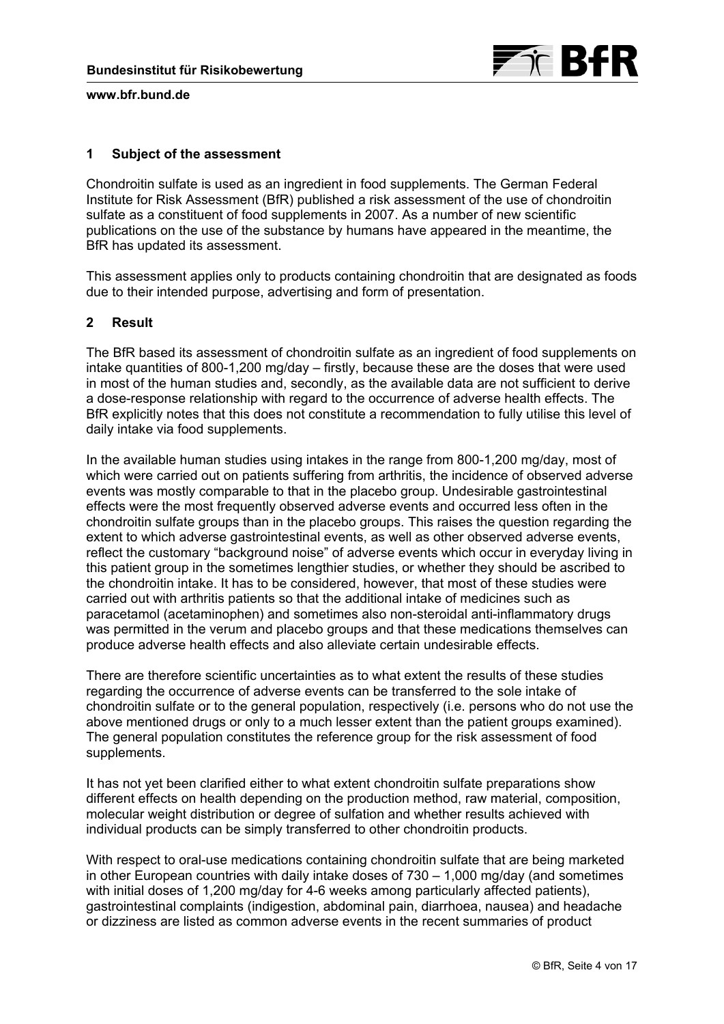# **1 Subject of the assessment**

Chondroitin sulfate is used as an ingredient in food supplements. The German Federal Institute for Risk Assessment (BfR) published a risk assessment of the use of chondroitin sulfate as a constituent of food supplements in 2007. As a number of new scientific publications on the use of the substance by humans have appeared in the meantime, the BfR has updated its assessment.

This assessment applies only to products containing chondroitin that are designated as foods due to their intended purpose, advertising and form of presentation.

# **2 Result**

The BfR based its assessment of chondroitin sulfate as an ingredient of food supplements on intake quantities of 800-1,200 mg/day – firstly, because these are the doses that were used in most of the human studies and, secondly, as the available data are not sufficient to derive a dose-response relationship with regard to the occurrence of adverse health effects. The BfR explicitly notes that this does not constitute a recommendation to fully utilise this level of daily intake via food supplements.

In the available human studies using intakes in the range from 800-1,200 mg/day, most of which were carried out on patients suffering from arthritis, the incidence of observed adverse events was mostly comparable to that in the placebo group. Undesirable gastrointestinal effects were the most frequently observed adverse events and occurred less often in the chondroitin sulfate groups than in the placebo groups. This raises the question regarding the extent to which adverse gastrointestinal events, as well as other observed adverse events, reflect the customary "background noise" of adverse events which occur in everyday living in this patient group in the sometimes lengthier studies, or whether they should be ascribed to the chondroitin intake. It has to be considered, however, that most of these studies were carried out with arthritis patients so that the additional intake of medicines such as paracetamol (acetaminophen) and sometimes also non-steroidal anti-inflammatory drugs was permitted in the verum and placebo groups and that these medications themselves can produce adverse health effects and also alleviate certain undesirable effects.

There are therefore scientific uncertainties as to what extent the results of these studies regarding the occurrence of adverse events can be transferred to the sole intake of chondroitin sulfate or to the general population, respectively (i.e. persons who do not use the above mentioned drugs or only to a much lesser extent than the patient groups examined). The general population constitutes the reference group for the risk assessment of food supplements.

It has not yet been clarified either to what extent chondroitin sulfate preparations show different effects on health depending on the production method, raw material, composition, molecular weight distribution or degree of sulfation and whether results achieved with individual products can be simply transferred to other chondroitin products.

With respect to oral-use medications containing chondroitin sulfate that are being marketed in other European countries with daily intake doses of 730 – 1,000 mg/day (and sometimes with initial doses of 1,200 mg/day for 4-6 weeks among particularly affected patients), gastrointestinal complaints (indigestion, abdominal pain, diarrhoea, nausea) and headache or dizziness are listed as common adverse events in the recent summaries of product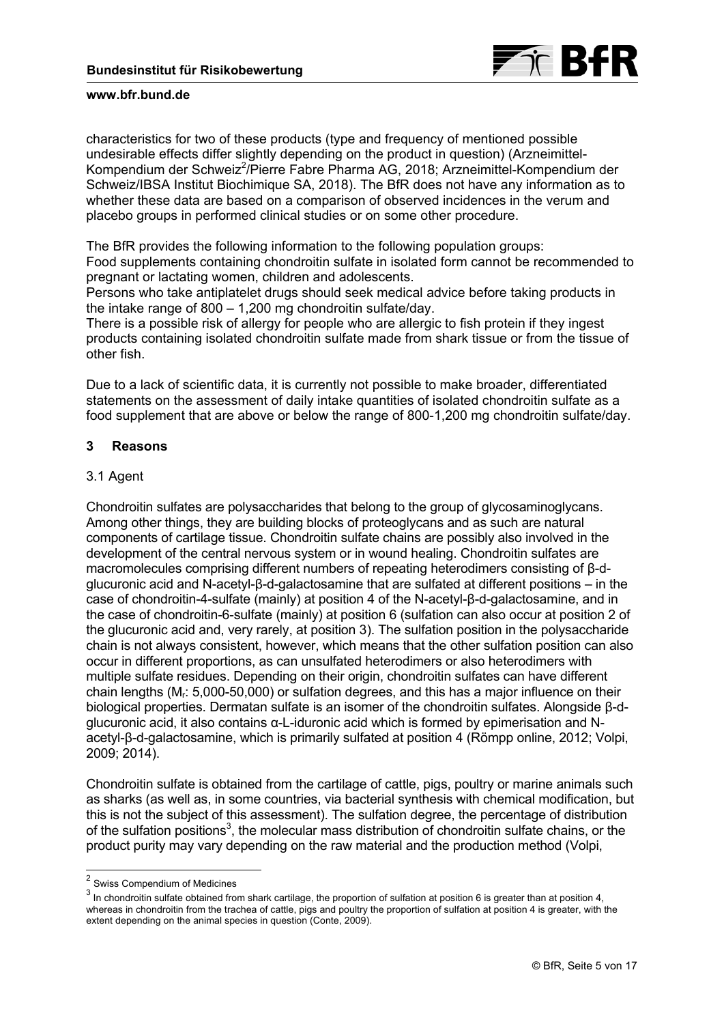

characteristics for two of these products (type and frequency of mentioned possible undesirable effects differ slightly depending on the product in question) (Arzneimittel-Kompendium der Schweiz<sup>[2](#page-5-0)</sup>/Pierre Fabre Pharma AG, 2018; Arzneimittel-Kompendium der Schweiz/IBSA Institut Biochimique SA, 2018). The BfR does not have any information as to whether these data are based on a comparison of observed incidences in the verum and placebo groups in performed clinical studies or on some other procedure.

The BfR provides the following information to the following population groups: Food supplements containing chondroitin sulfate in isolated form cannot be recommended to pregnant or lactating women, children and adolescents.

Persons who take antiplatelet drugs should seek medical advice before taking products in the intake range of 800 – 1,200 mg chondroitin sulfate/day.

There is a possible risk of allergy for people who are allergic to fish protein if they ingest products containing isolated chondroitin sulfate made from shark tissue or from the tissue of other fish.

Due to a lack of scientific data, it is currently not possible to make broader, differentiated statements on the assessment of daily intake quantities of isolated chondroitin sulfate as a food supplement that are above or below the range of 800-1,200 mg chondroitin sulfate/day.

# **3 Reasons**

## 3.1 Agent

Chondroitin sulfates are polysaccharides that belong to the group of glycosaminoglycans. Among other things, they are building blocks of proteoglycans and as such are natural components of cartilage tissue. Chondroitin sulfate chains are possibly also involved in the development of the central nervous system or in wound healing. Chondroitin sulfates are macromolecules comprising different numbers of repeating heterodimers consisting of β-dglucuronic acid and N-acetyl-β-d-galactosamine that are sulfated at different positions – in the case of chondroitin-4-sulfate (mainly) at position 4 of the N-acetyl-β-d-galactosamine, and in the case of chondroitin-6-sulfate (mainly) at position 6 (sulfation can also occur at position 2 of the glucuronic acid and, very rarely, at position 3). The sulfation position in the polysaccharide chain is not always consistent, however, which means that the other sulfation position can also occur in different proportions, as can unsulfated heterodimers or also heterodimers with multiple sulfate residues. Depending on their origin, chondroitin sulfates can have different chain lengths (Mr: 5,000-50,000) or sulfation degrees, and this has a major influence on their biological properties. Dermatan sulfate is an isomer of the chondroitin sulfates. Alongside β-dglucuronic acid, it also contains α-L-iduronic acid which is formed by epimerisation and Nacetyl-β-d-galactosamine, which is primarily sulfated at position 4 (Römpp online, 2012; Volpi, 2009; 2014).

Chondroitin sulfate is obtained from the cartilage of cattle, pigs, poultry or marine animals such as sharks (as well as, in some countries, via bacterial synthesis with chemical modification, but this is not the subject of this assessment). The sulfation degree, the percentage of distribution of the sulfation positions<sup>[3](#page-5-0)</sup>, the molecular mass distribution of chondroitin sulfate chains, or the product purity may vary depending on the raw material and the production method (Volpi,

-

<sup>2</sup> Swiss Compendium of Medicines

 $^3$  In chondroitin sulfate obtained from shark cartilage, the proportion of sulfation at position 6 is greater than at position 4, whereas in chondroitin from the trachea of cattle, pigs and poultry the proportion of sulfation at position 4 is greater, with the extent depending on the animal species in question (Conte, 2009).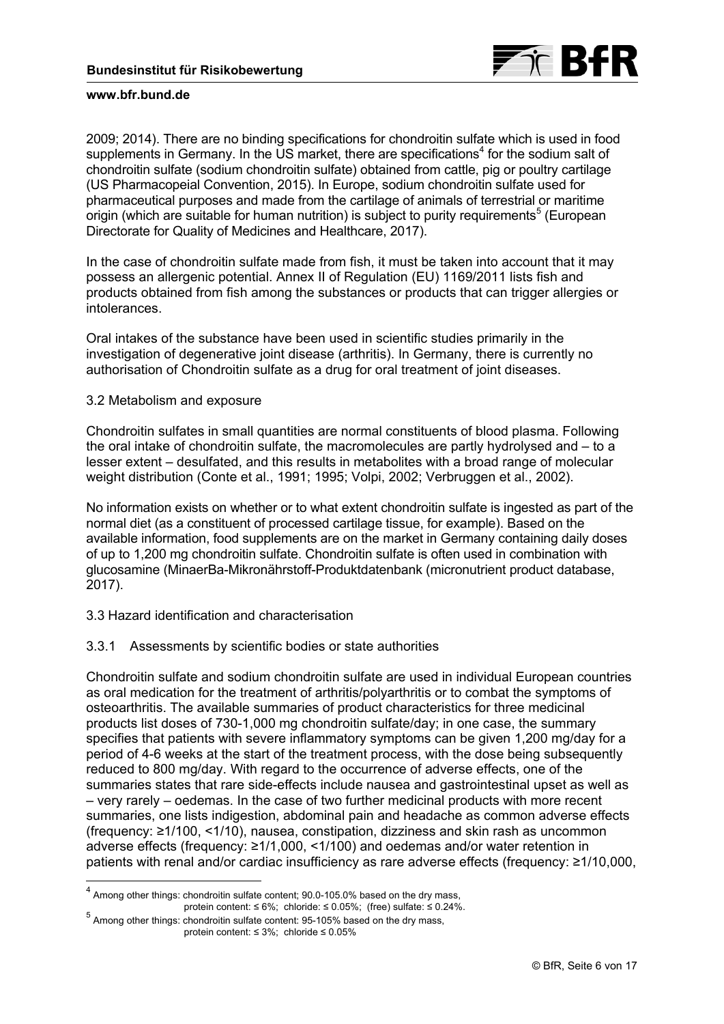

<span id="page-5-0"></span>2009; 2014). There are no binding specifications for chondroitin sulfate which is used in food supplements in Germany. In the US market, there are specifications<sup>4</sup> for the sodium salt of chondroitin sulfate (sodium chondroitin sulfate) obtained from cattle, pig or poultry cartilage (US Pharmacopeial Convention, 2015). In Europe, sodium chondroitin sulfate used for pharmaceutical purposes and made from the cartilage of animals of terrestrial or maritime origin (which are suitable for human nutrition) is subject to purity requirements<sup>[5](#page-6-0)</sup> (European Directorate for Quality of Medicines and Healthcare, 2017).

In the case of chondroitin sulfate made from fish, it must be taken into account that it may possess an allergenic potential. Annex II of Regulation (EU) 1169/2011 lists fish and products obtained from fish among the substances or products that can trigger allergies or intolerances.

Oral intakes of the substance have been used in scientific studies primarily in the investigation of degenerative joint disease (arthritis). In Germany, there is currently no authorisation of Chondroitin sulfate as a drug for oral treatment of joint diseases.

## 3.2 Metabolism and exposure

 $\overline{a}$ 

Chondroitin sulfates in small quantities are normal constituents of blood plasma. Following the oral intake of chondroitin sulfate, the macromolecules are partly hydrolysed and – to a lesser extent – desulfated, and this results in metabolites with a broad range of molecular weight distribution (Conte et al., 1991; 1995; Volpi, 2002; Verbruggen et al., 2002).

No information exists on whether or to what extent chondroitin sulfate is ingested as part of the normal diet (as a constituent of processed cartilage tissue, for example). Based on the available information, food supplements are on the market in Germany containing daily doses of up to 1,200 mg chondroitin sulfate. Chondroitin sulfate is often used in combination with glucosamine (MinaerBa-Mikronährstoff-Produktdatenbank (micronutrient product database, 2017).

# 3.3 Hazard identification and characterisation

# 3.3.1 Assessments by scientific bodies or state authorities

Chondroitin sulfate and sodium chondroitin sulfate are used in individual European countries as oral medication for the treatment of arthritis/polyarthritis or to combat the symptoms of osteoarthritis. The available summaries of product characteristics for three medicinal products list doses of 730-1,000 mg chondroitin sulfate/day; in one case, the summary specifies that patients with severe inflammatory symptoms can be given 1,200 mg/day for a period of 4-6 weeks at the start of the treatment process, with the dose being subsequently reduced to 800 mg/day. With regard to the occurrence of adverse effects, one of the summaries states that rare side-effects include nausea and gastrointestinal upset as well as – very rarely – oedemas. In the case of two further medicinal products with more recent summaries, one lists indigestion, abdominal pain and headache as common adverse effects (frequency: ≥1/100, <1/10), nausea, constipation, dizziness and skin rash as uncommon adverse effects (frequency: ≥1/1,000, <1/100) and oedemas and/or water retention in patients with renal and/or cardiac insufficiency as rare adverse effects (frequency: ≥1/10,000,

 $<sup>4</sup>$  Among other things: chondroitin sulfate content; 90.0-105.0% based on the dry mass,</sup> protein content:  $\leq 6\%$ ; chloride:  $\leq 0.05\%$ ; (free) sulfate:  $\leq 0.24\%$ .

protein content: ≤ 6%; chloride: ≤ 0.05%; (free) sulfate: ≤ 0.25%<br>5 Among other things: chondroitin sulfate content: 95-105% based on the dry mass, protein content: ≤ 3%; chloride ≤ 0.05%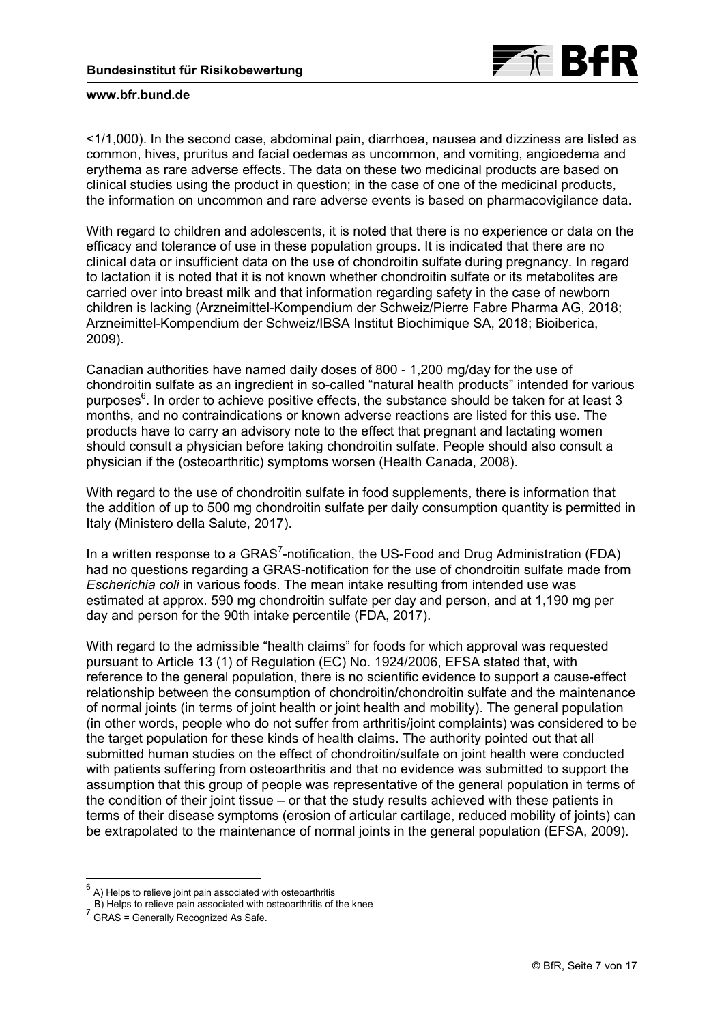

<span id="page-6-0"></span><1/1,000). In the second case, abdominal pain, diarrhoea, nausea and dizziness are listed as common, hives, pruritus and facial oedemas as uncommon, and vomiting, angioedema and erythema as rare adverse effects. The data on these two medicinal products are based on clinical studies using the product in question; in the case of one of the medicinal products, the information on uncommon and rare adverse events is based on pharmacovigilance data.

With regard to children and adolescents, it is noted that there is no experience or data on the efficacy and tolerance of use in these population groups. It is indicated that there are no clinical data or insufficient data on the use of chondroitin sulfate during pregnancy. In regard to lactation it is noted that it is not known whether chondroitin sulfate or its metabolites are carried over into breast milk and that information regarding safety in the case of newborn children is lacking (Arzneimittel-Kompendium der Schweiz/Pierre Fabre Pharma AG, 2018; Arzneimittel-Kompendium der Schweiz/IBSA Institut Biochimique SA, 2018; Bioiberica, 2009).

Canadian authorities have named daily doses of 800 - 1,200 mg/day for the use of chondroitin sulfate as an ingredient in so-called "natural health products" intended for various purposes<sup>6</sup>. In order to achieve positive effects, the substance should be taken for at least 3 months, and no contraindications or known adverse reactions are listed for this use. The products have to carry an advisory note to the effect that pregnant and lactating women should consult a physician before taking chondroitin sulfate. People should also consult a physician if the (osteoarthritic) symptoms worsen (Health Canada, 2008).

With regard to the use of chondroitin sulfate in food supplements, there is information that the addition of up to 500 mg chondroitin sulfate per daily consumption quantity is permitted in Italy (Ministero della Salute, 2017).

In a written response to a GRAS<sup>[7](#page-7-0)</sup>-notification, the US-Food and Drug Administration (FDA) had no questions regarding a GRAS-notification for the use of chondroitin sulfate made from *Escherichia coli* in various foods. The mean intake resulting from intended use was estimated at approx. 590 mg chondroitin sulfate per day and person, and at 1,190 mg per day and person for the 90th intake percentile (FDA, 2017).

With regard to the admissible "health claims" for foods for which approval was requested pursuant to Article 13 (1) of Regulation (EC) No. 1924/2006, EFSA stated that, with reference to the general population, there is no scientific evidence to support a cause-effect relationship between the consumption of chondroitin/chondroitin sulfate and the maintenance of normal joints (in terms of joint health or joint health and mobility). The general population (in other words, people who do not suffer from arthritis/joint complaints) was considered to be the target population for these kinds of health claims. The authority pointed out that all submitted human studies on the effect of chondroitin/sulfate on joint health were conducted with patients suffering from osteoarthritis and that no evidence was submitted to support the assumption that this group of people was representative of the general population in terms of the condition of their joint tissue – or that the study results achieved with these patients in terms of their disease symptoms (erosion of articular cartilage, reduced mobility of joints) can be extrapolated to the maintenance of normal joints in the general population (EFSA, 2009).

 $\overline{a}$ 

 $<sup>6</sup>$  A) Helps to relieve joint pain associated with osteoarthritis</sup>

B) Helps to relieve pain associated with osteoarthritis of the knee

B) Helps to relieve pair associated marriers of GRAS = Generally Recognized As Safe.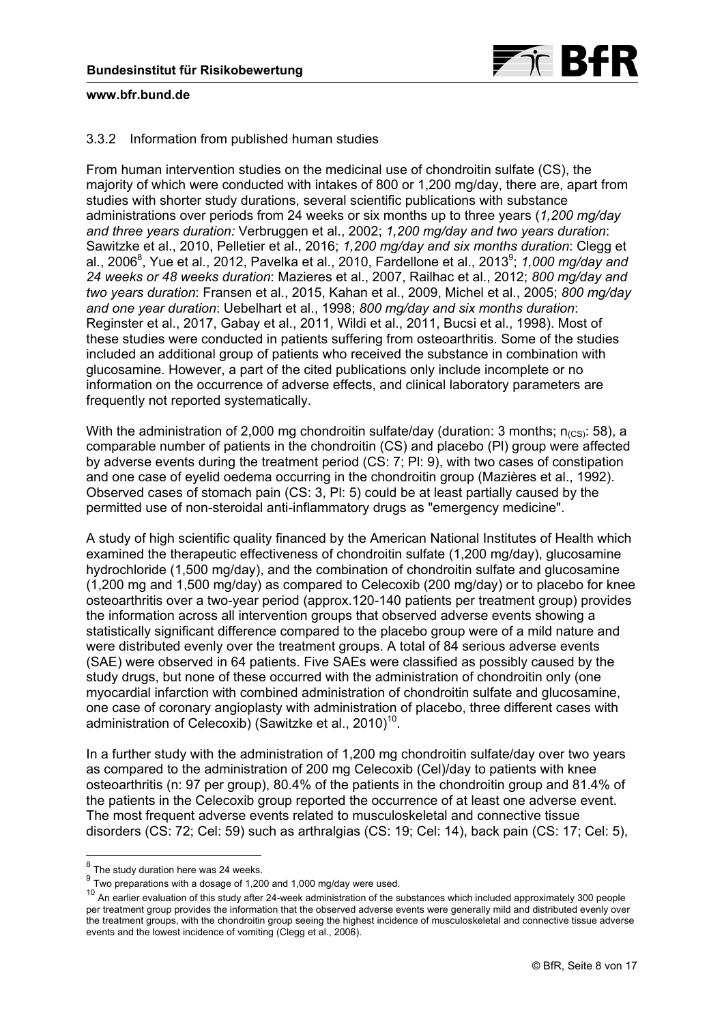

# <span id="page-7-0"></span>3.3.2 Information from published human studies

From human intervention studies on the medicinal use of chondroitin sulfate (CS), the majority of which were conducted with intakes of 800 or 1,200 mg/day, there are, apart from studies with shorter study durations, several scientific publications with substance administrations over periods from 24 weeks or six months up to three years (*1,200 mg/day and three years duration:* Verbruggen et al., 2002; *1,200 mg/day and two years duration*: Sawitzke et al., 2010, Pelletier et al., 2016; *1,200 mg/day and six months duration*: Clegg et al., 2006<sup>8</sup>, Yue et al., 2012, Pavelka et al., 2010, Fardellone et al., 2013<sup>[9](#page-8-0)</sup>; 1,000 mg/day and *24 weeks or 48 weeks duration*: Mazieres et al., 2007, Railhac et al., 2012; *800 mg/day and two years duration*: Fransen et al., 2015, Kahan et al., 2009, Michel et al., 2005; *800 mg/day and one year duration*: Uebelhart et al., 1998; *800 mg/day and six months duration*: Reginster et al., 2017, Gabay et al., 2011, Wildi et al., 2011, Bucsi et al., 1998). Most of these studies were conducted in patients suffering from osteoarthritis. Some of the studies included an additional group of patients who received the substance in combination with glucosamine. However, a part of the cited publications only include incomplete or no information on the occurrence of adverse effects, and clinical laboratory parameters are frequently not reported systematically.

With the administration of 2,000 mg chondroitin sulfate/day (duration: 3 months;  $n_{(CS)}$ : 58), a comparable number of patients in the chondroitin (CS) and placebo (Pl) group were affected by adverse events during the treatment period (CS: 7; Pl: 9), with two cases of constipation and one case of eyelid oedema occurring in the chondroitin group (Mazières et al., 1992). Observed cases of stomach pain (CS: 3, Pl: 5) could be at least partially caused by the permitted use of non-steroidal anti-inflammatory drugs as "emergency medicine".

A study of high scientific quality financed by the American National Institutes of Health which examined the therapeutic effectiveness of chondroitin sulfate (1,200 mg/day), glucosamine hydrochloride (1,500 mg/day), and the combination of chondroitin sulfate and glucosamine (1,200 mg and 1,500 mg/day) as compared to Celecoxib (200 mg/day) or to placebo for knee osteoarthritis over a two-year period (approx.120-140 patients per treatment group) provides the information across all intervention groups that observed adverse events showing a statistically significant difference compared to the placebo group were of a mild nature and were distributed evenly over the treatment groups. A total of 84 serious adverse events (SAE) were observed in 64 patients. Five SAEs were classified as possibly caused by the study drugs, but none of these occurred with the administration of chondroitin only (one myocardial infarction with combined administration of chondroitin sulfate and glucosamine, one case of coronary angioplasty with administration of placebo, three different cases with administration of Celecoxib) (Sawitzke et al., 20[10](#page-8-0))<sup>10</sup>.

In a further study with the administration of 1,200 mg chondroitin sulfate/day over two years as compared to the administration of 200 mg Celecoxib (Cel)/day to patients with knee osteoarthritis (n: 97 per group), 80.4% of the patients in the chondroitin group and 81.4% of the patients in the Celecoxib group reported the occurrence of at least one adverse event. The most frequent adverse events related to musculoskeletal and connective tissue disorders (CS: 72; Cel: 59) such as arthralgias (CS: 19; Cel: 14), back pain (CS: 17; Cel: 5),

 $\overline{a}$ 

 $^8$  The study duration here was 24 weeks.

 $9$  Two preparations with a dosage of 1,200 and 1,000 mg/day were used.

<sup>&</sup>lt;sup>10</sup> An earlier evaluation of this study after 24-week administration of the substances which included approximately 300 people per treatment group provides the information that the observed adverse events were generally mild and distributed evenly over the treatment groups, with the chondroitin group seeing the highest incidence of musculoskeletal and connective tissue adverse events and the lowest incidence of vomiting (Clegg et al., 2006).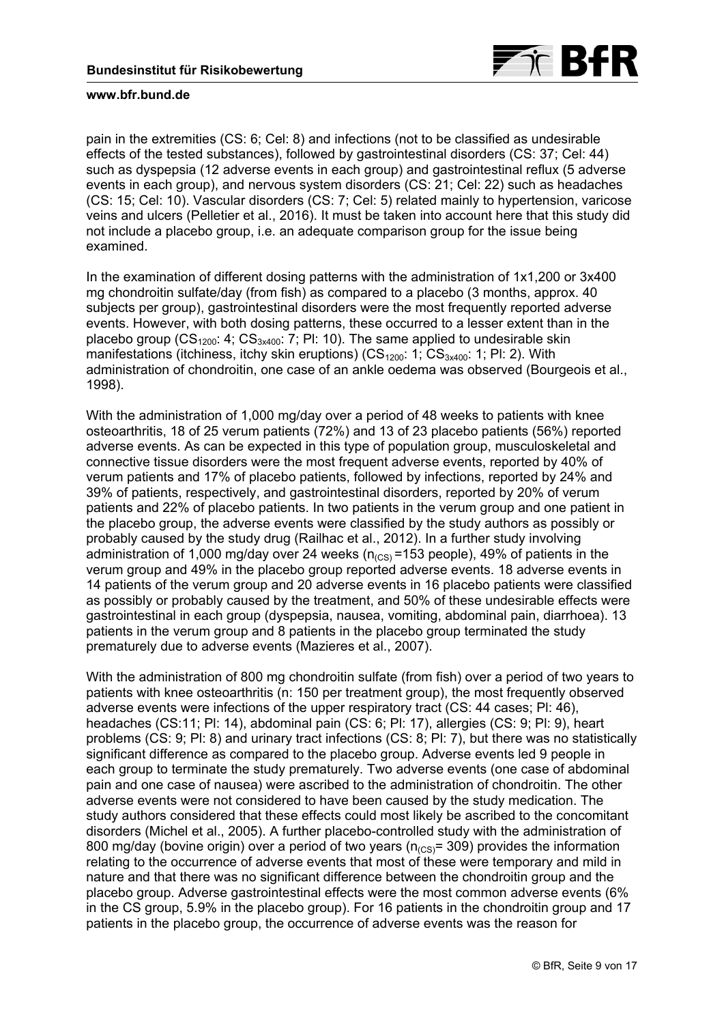

<span id="page-8-0"></span>pain in the extremities (CS: 6; Cel: 8) and infections (not to be classified as undesirable effects of the tested substances), followed by gastrointestinal disorders (CS: 37; Cel: 44) such as dyspepsia (12 adverse events in each group) and gastrointestinal reflux (5 adverse events in each group), and nervous system disorders (CS: 21; Cel: 22) such as headaches (CS: 15; Cel: 10). Vascular disorders (CS: 7; Cel: 5) related mainly to hypertension, varicose veins and ulcers (Pelletier et al., 2016). It must be taken into account here that this study did not include a placebo group, i.e. an adequate comparison group for the issue being examined.

In the examination of different dosing patterns with the administration of 1x1,200 or 3x400 mg chondroitin sulfate/day (from fish) as compared to a placebo (3 months, approx. 40 subjects per group), gastrointestinal disorders were the most frequently reported adverse events. However, with both dosing patterns, these occurred to a lesser extent than in the placebo group ( $CS_{1200}$ : 4;  $CS_{3x400}$ : 7; Pl: 10). The same applied to undesirable skin manifestations (itchiness, itchy skin eruptions)  $\left(\text{CS}_{1200}: 1; \text{CS}_{3x400}: 1; \text{Pl}: 2\right)$ . With administration of chondroitin, one case of an ankle oedema was observed (Bourgeois et al., 1998).

With the administration of 1,000 mg/day over a period of 48 weeks to patients with knee osteoarthritis, 18 of 25 verum patients (72%) and 13 of 23 placebo patients (56%) reported adverse events. As can be expected in this type of population group, musculoskeletal and connective tissue disorders were the most frequent adverse events, reported by 40% of verum patients and 17% of placebo patients, followed by infections, reported by 24% and 39% of patients, respectively, and gastrointestinal disorders, reported by 20% of verum patients and 22% of placebo patients. In two patients in the verum group and one patient in the placebo group, the adverse events were classified by the study authors as possibly or probably caused by the study drug (Railhac et al., 2012). In a further study involving administration of 1,000 mg/day over 24 weeks ( $n_{\text{CC}S}$  =153 people), 49% of patients in the verum group and 49% in the placebo group reported adverse events. 18 adverse events in 14 patients of the verum group and 20 adverse events in 16 placebo patients were classified as possibly or probably caused by the treatment, and 50% of these undesirable effects were gastrointestinal in each group (dyspepsia, nausea, vomiting, abdominal pain, diarrhoea). 13 patients in the verum group and 8 patients in the placebo group terminated the study prematurely due to adverse events (Mazieres et al., 2007).

With the administration of 800 mg chondroitin sulfate (from fish) over a period of two years to patients with knee osteoarthritis (n: 150 per treatment group), the most frequently observed adverse events were infections of the upper respiratory tract (CS: 44 cases; Pl: 46), headaches (CS:11; Pl: 14), abdominal pain (CS: 6; Pl: 17), allergies (CS: 9; Pl: 9), heart problems (CS: 9; Pl: 8) and urinary tract infections (CS: 8; Pl: 7), but there was no statistically significant difference as compared to the placebo group. Adverse events led 9 people in each group to terminate the study prematurely. Two adverse events (one case of abdominal pain and one case of nausea) were ascribed to the administration of chondroitin. The other adverse events were not considered to have been caused by the study medication. The study authors considered that these effects could most likely be ascribed to the concomitant disorders (Michel et al., 2005). A further placebo-controlled study with the administration of 800 mg/day (bovine origin) over a period of two years ( $n_{\text{CCS}}$ = 309) provides the information relating to the occurrence of adverse events that most of these were temporary and mild in nature and that there was no significant difference between the chondroitin group and the placebo group. Adverse gastrointestinal effects were the most common adverse events (6% in the CS group, 5.9% in the placebo group). For 16 patients in the chondroitin group and 17 patients in the placebo group, the occurrence of adverse events was the reason for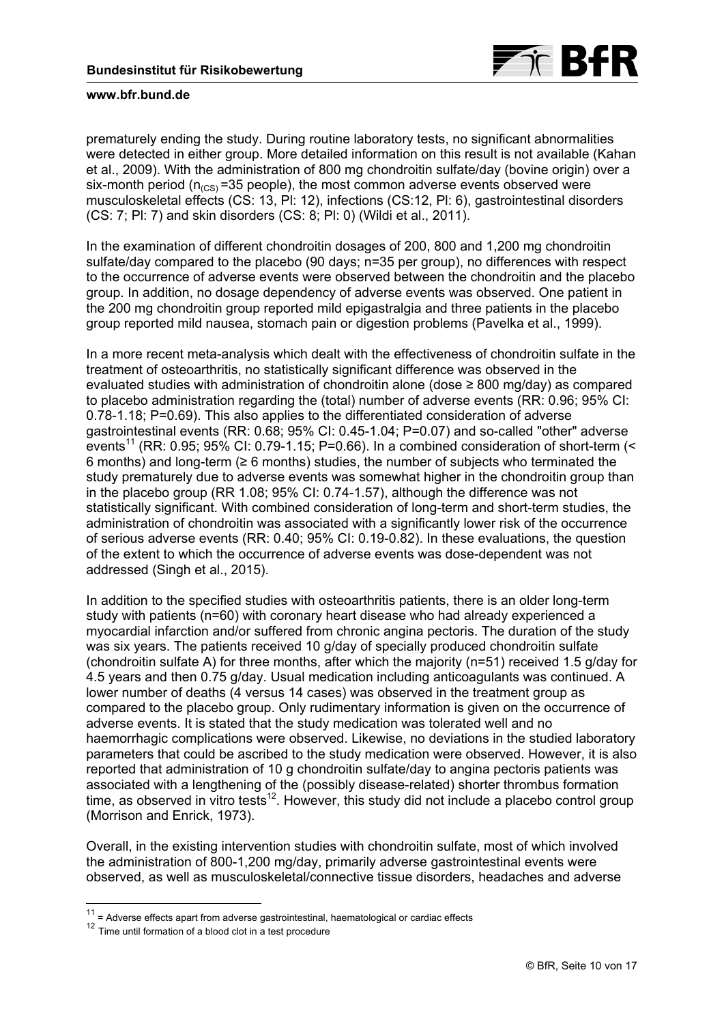

prematurely ending the study. During routine laboratory tests, no significant abnormalities were detected in either group. More detailed information on this result is not available (Kahan et al., 2009). With the administration of 800 mg chondroitin sulfate/day (bovine origin) over a six-month period ( $n_{(CS)}$ =35 people), the most common adverse events observed were musculoskeletal effects (CS: 13, Pl: 12), infections (CS:12, Pl: 6), gastrointestinal disorders (CS: 7; Pl: 7) and skin disorders (CS: 8; Pl: 0) (Wildi et al., 2011).

In the examination of different chondroitin dosages of 200, 800 and 1,200 mg chondroitin sulfate/day compared to the placebo (90 days; n=35 per group), no differences with respect to the occurrence of adverse events were observed between the chondroitin and the placebo group. In addition, no dosage dependency of adverse events was observed. One patient in the 200 mg chondroitin group reported mild epigastralgia and three patients in the placebo group reported mild nausea, stomach pain or digestion problems (Pavelka et al., 1999).

In a more recent meta-analysis which dealt with the effectiveness of chondroitin sulfate in the treatment of osteoarthritis, no statistically significant difference was observed in the evaluated studies with administration of chondroitin alone (dose ≥ 800 mg/day) as compared to placebo administration regarding the (total) number of adverse events (RR: 0.96; 95% CI: 0.78-1.18; P=0.69). This also applies to the differentiated consideration of adverse gastrointestinal events (RR: 0.68; 95% CI: 0.45-1.04; P=0.07) and so-called "other" adverse events<sup>[11](#page-10-0)</sup> (RR: 0.95; 95% CI: 0.79-1.15; P=0.66). In a combined consideration of short-term (< 6 months) and long-term ( $\geq 6$  months) studies, the number of subjects who terminated the study prematurely due to adverse events was somewhat higher in the chondroitin group than in the placebo group (RR 1.08; 95% CI: 0.74-1.57), although the difference was not statistically significant. With combined consideration of long-term and short-term studies, the administration of chondroitin was associated with a significantly lower risk of the occurrence of serious adverse events (RR: 0.40; 95% CI: 0.19-0.82). In these evaluations, the question of the extent to which the occurrence of adverse events was dose-dependent was not addressed (Singh et al., 2015).

In addition to the specified studies with osteoarthritis patients, there is an older long-term study with patients (n=60) with coronary heart disease who had already experienced a myocardial infarction and/or suffered from chronic angina pectoris. The duration of the study was six years. The patients received 10 g/day of specially produced chondroitin sulfate (chondroitin sulfate A) for three months, after which the majority (n=51) received 1.5 g/day for 4.5 years and then 0.75 g/day. Usual medication including anticoagulants was continued. A lower number of deaths (4 versus 14 cases) was observed in the treatment group as compared to the placebo group. Only rudimentary information is given on the occurrence of adverse events. It is stated that the study medication was tolerated well and no haemorrhagic complications were observed. Likewise, no deviations in the studied laboratory parameters that could be ascribed to the study medication were observed. However, it is also reported that administration of 10 g chondroitin sulfate/day to angina pectoris patients was associated with a lengthening of the (possibly disease-related) shorter thrombus formation time, as observed in vitro tests<sup>12</sup>. However, this study did not include a placebo control group (Morrison and Enrick, 1973).

Overall, in the existing intervention studies with chondroitin sulfate, most of which involved the administration of 800-1,200 mg/day, primarily adverse gastrointestinal events were observed, as well as musculoskeletal/connective tissue disorders, headaches and adverse

-

 $11$  = Adverse effects apart from adverse gastrointestinal, haematological or cardiac effects

<sup>&</sup>lt;sup>12</sup> Time until formation of a blood clot in a test procedure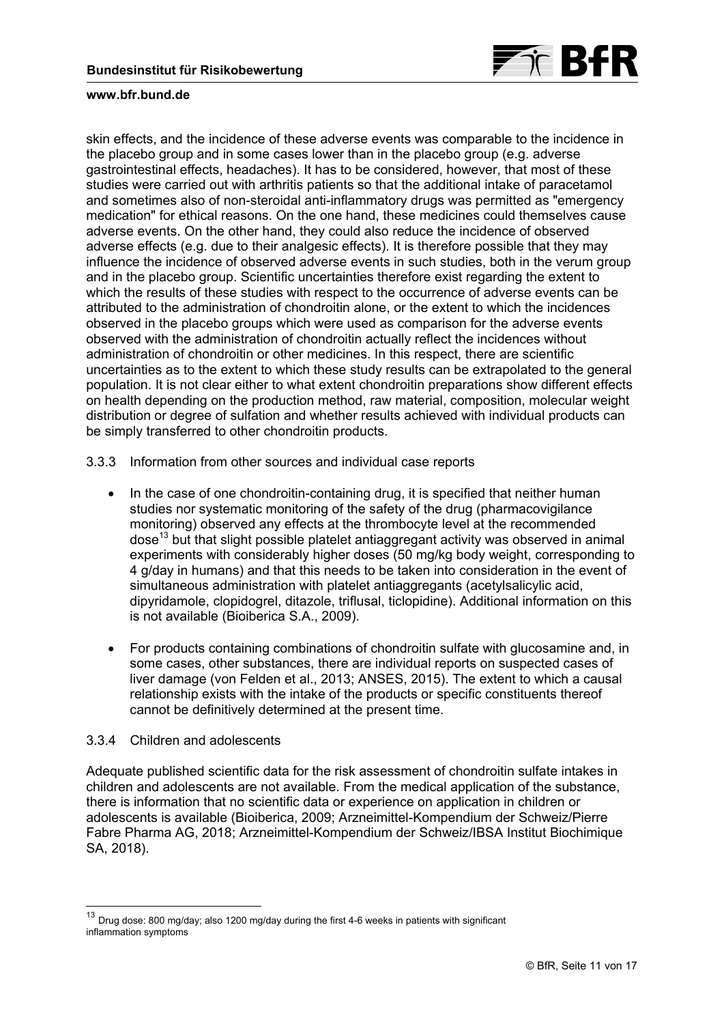

<span id="page-10-0"></span>skin effects, and the incidence of these adverse events was comparable to the incidence in the placebo group and in some cases lower than in the placebo group (e.g. adverse gastrointestinal effects, headaches). It has to be considered, however, that most of these studies were carried out with arthritis patients so that the additional intake of paracetamol and sometimes also of non-steroidal anti-inflammatory drugs was permitted as "emergency medication" for ethical reasons. On the one hand, these medicines could themselves cause adverse events. On the other hand, they could also reduce the incidence of observed adverse effects (e.g. due to their analgesic effects). It is therefore possible that they may influence the incidence of observed adverse events in such studies, both in the verum group and in the placebo group. Scientific uncertainties therefore exist regarding the extent to which the results of these studies with respect to the occurrence of adverse events can be attributed to the administration of chondroitin alone, or the extent to which the incidences observed in the placebo groups which were used as comparison for the adverse events observed with the administration of chondroitin actually reflect the incidences without administration of chondroitin or other medicines. In this respect, there are scientific uncertainties as to the extent to which these study results can be extrapolated to the general population. It is not clear either to what extent chondroitin preparations show different effects on health depending on the production method, raw material, composition, molecular weight distribution or degree of sulfation and whether results achieved with individual products can be simply transferred to other chondroitin products.

- 3.3.3 Information from other sources and individual case reports
	- In the case of one chondroitin-containing drug, it is specified that neither human studies nor systematic monitoring of the safety of the drug (pharmacovigilance monitoring) observed any effects at the thrombocyte level at the recommended dose<sup>[13](#page-11-0)</sup> but that slight possible platelet antiaggregant activity was observed in animal experiments with considerably higher doses (50 mg/kg body weight, corresponding to 4 g/day in humans) and that this needs to be taken into consideration in the event of simultaneous administration with platelet antiaggregants (acetylsalicylic acid, dipyridamole, clopidogrel, ditazole, triflusal, ticlopidine). Additional information on this is not available (Bioiberica S.A., 2009).
	- For products containing combinations of chondroitin sulfate with glucosamine and, in some cases, other substances, there are individual reports on suspected cases of liver damage (von Felden et al., 2013; ANSES, 2015). The extent to which a causal relationship exists with the intake of the products or specific constituents thereof cannot be definitively determined at the present time.

# 3.3.4 Children and adolescents

-

Adequate published scientific data for the risk assessment of chondroitin sulfate intakes in children and adolescents are not available. From the medical application of the substance, there is information that no scientific data or experience on application in children or adolescents is available (Bioiberica, 2009; Arzneimittel-Kompendium der Schweiz/Pierre Fabre Pharma AG, 2018; Arzneimittel-Kompendium der Schweiz/IBSA Institut Biochimique SA, 2018).

<sup>&</sup>lt;sup>13</sup> Drug dose: 800 mg/day; also 1200 mg/day during the first 4-6 weeks in patients with significant inflammation symptoms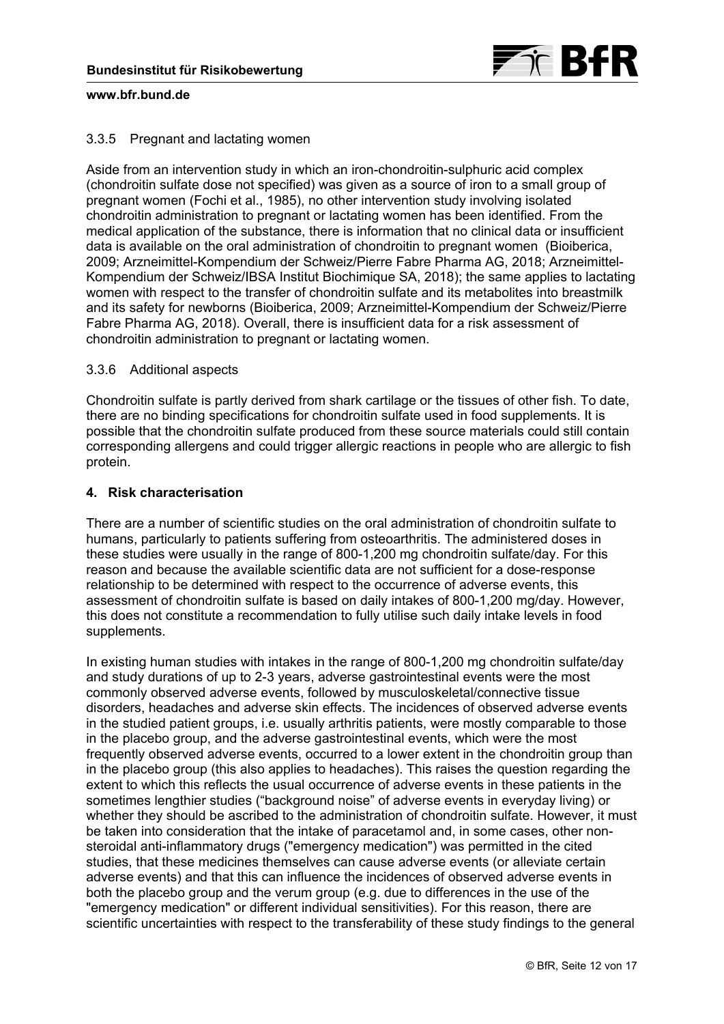

# <span id="page-11-0"></span>3.3.5 Pregnant and lactating women

Aside from an intervention study in which an iron-chondroitin-sulphuric acid complex (chondroitin sulfate dose not specified) was given as a source of iron to a small group of pregnant women (Fochi et al., 1985), no other intervention study involving isolated chondroitin administration to pregnant or lactating women has been identified. From the medical application of the substance, there is information that no clinical data or insufficient data is available on the oral administration of chondroitin to pregnant women (Bioiberica, 2009; Arzneimittel-Kompendium der Schweiz/Pierre Fabre Pharma AG, 2018; Arzneimittel-Kompendium der Schweiz/IBSA Institut Biochimique SA, 2018); the same applies to lactating women with respect to the transfer of chondroitin sulfate and its metabolites into breastmilk and its safety for newborns (Bioiberica, 2009; Arzneimittel-Kompendium der Schweiz/Pierre Fabre Pharma AG, 2018). Overall, there is insufficient data for a risk assessment of chondroitin administration to pregnant or lactating women.

# 3.3.6 Additional aspects

Chondroitin sulfate is partly derived from shark cartilage or the tissues of other fish. To date, there are no binding specifications for chondroitin sulfate used in food supplements. It is possible that the chondroitin sulfate produced from these source materials could still contain corresponding allergens and could trigger allergic reactions in people who are allergic to fish protein.

# **4. Risk characterisation**

There are a number of scientific studies on the oral administration of chondroitin sulfate to humans, particularly to patients suffering from osteoarthritis. The administered doses in these studies were usually in the range of 800-1,200 mg chondroitin sulfate/day. For this reason and because the available scientific data are not sufficient for a dose-response relationship to be determined with respect to the occurrence of adverse events, this assessment of chondroitin sulfate is based on daily intakes of 800-1,200 mg/day. However, this does not constitute a recommendation to fully utilise such daily intake levels in food supplements.

In existing human studies with intakes in the range of 800-1,200 mg chondroitin sulfate/day and study durations of up to 2-3 years, adverse gastrointestinal events were the most commonly observed adverse events, followed by musculoskeletal/connective tissue disorders, headaches and adverse skin effects. The incidences of observed adverse events in the studied patient groups, i.e. usually arthritis patients, were mostly comparable to those in the placebo group, and the adverse gastrointestinal events, which were the most frequently observed adverse events, occurred to a lower extent in the chondroitin group than in the placebo group (this also applies to headaches). This raises the question regarding the extent to which this reflects the usual occurrence of adverse events in these patients in the sometimes lengthier studies ("background noise" of adverse events in everyday living) or whether they should be ascribed to the administration of chondroitin sulfate. However, it must be taken into consideration that the intake of paracetamol and, in some cases, other nonsteroidal anti-inflammatory drugs ("emergency medication") was permitted in the cited studies, that these medicines themselves can cause adverse events (or alleviate certain adverse events) and that this can influence the incidences of observed adverse events in both the placebo group and the verum group (e.g. due to differences in the use of the "emergency medication" or different individual sensitivities). For this reason, there are scientific uncertainties with respect to the transferability of these study findings to the general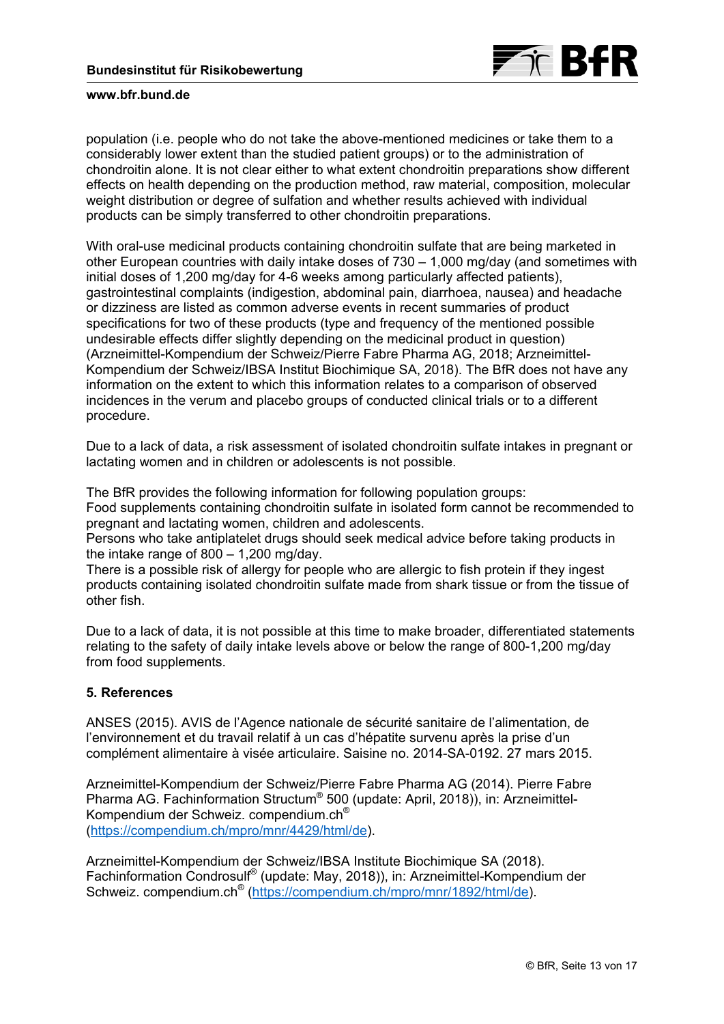

population (i.e. people who do not take the above-mentioned medicines or take them to a considerably lower extent than the studied patient groups) or to the administration of chondroitin alone. It is not clear either to what extent chondroitin preparations show different effects on health depending on the production method, raw material, composition, molecular weight distribution or degree of sulfation and whether results achieved with individual products can be simply transferred to other chondroitin preparations.

With oral-use medicinal products containing chondroitin sulfate that are being marketed in other European countries with daily intake doses of 730 – 1,000 mg/day (and sometimes with initial doses of 1,200 mg/day for 4-6 weeks among particularly affected patients), gastrointestinal complaints (indigestion, abdominal pain, diarrhoea, nausea) and headache or dizziness are listed as common adverse events in recent summaries of product specifications for two of these products (type and frequency of the mentioned possible undesirable effects differ slightly depending on the medicinal product in question) (Arzneimittel-Kompendium der Schweiz/Pierre Fabre Pharma AG, 2018; Arzneimittel-Kompendium der Schweiz/IBSA Institut Biochimique SA, 2018). The BfR does not have any information on the extent to which this information relates to a comparison of observed incidences in the verum and placebo groups of conducted clinical trials or to a different procedure.

Due to a lack of data, a risk assessment of isolated chondroitin sulfate intakes in pregnant or lactating women and in children or adolescents is not possible.

The BfR provides the following information for following population groups:

Food supplements containing chondroitin sulfate in isolated form cannot be recommended to pregnant and lactating women, children and adolescents.

Persons who take antiplatelet drugs should seek medical advice before taking products in the intake range of 800 – 1,200 mg/day.

There is a possible risk of allergy for people who are allergic to fish protein if they ingest products containing isolated chondroitin sulfate made from shark tissue or from the tissue of other fish.

Due to a lack of data, it is not possible at this time to make broader, differentiated statements relating to the safety of daily intake levels above or below the range of 800-1,200 mg/day from food supplements.

# **5. References**

ANSES (2015). AVIS de l'Agence nationale de sécurité sanitaire de l'alimentation, de l'environnement et du travail relatif à un cas d'hépatite survenu après la prise d'un complément alimentaire à visée articulaire. Saisine no. 2014-SA-0192. 27 mars 2015.

Arzneimittel-Kompendium der Schweiz/Pierre Fabre Pharma AG (2014). Pierre Fabre Pharma AG. Fachinformation Structum® 500 (update: April, 2018)), in: Arzneimittel-Kompendium der Schweiz. compendium.ch® ([https://compendium.ch/mpro/mnr/4429/html/de\).](https://compendium.ch/mpro/mnr/4429/html/de) 

Arzneimittel-Kompendium der Schweiz/IBSA Institute Biochimique SA (2018). Fachinformation Condrosulf® (update: May, 2018)), in: Arzneimittel-Kompendium der Schweiz. compendium.ch<sup>®</sup> (https://compendium.ch/mpro/mnr/1892/html/de).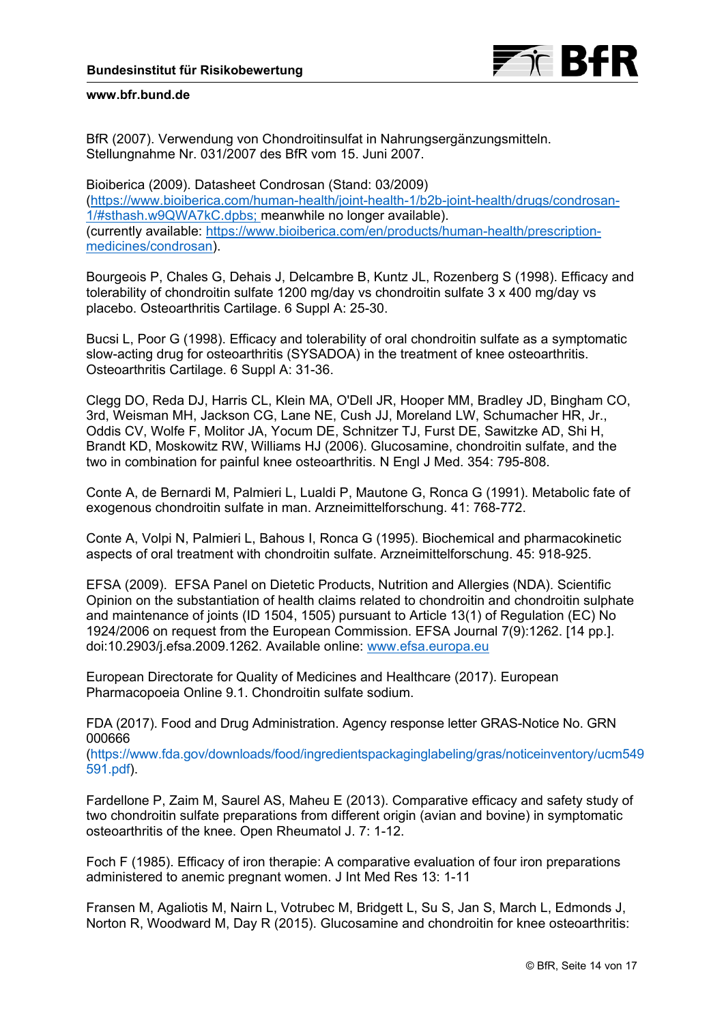

BfR (2007). Verwendung von Chondroitinsulfat in Nahrungsergänzungsmitteln. Stellungnahme Nr. 031/2007 des BfR vom 15. Juni 2007.

Bioiberica (2009). Datasheet Condrosan (Stand: 03/2009) [\(https://www.bioiberica.com/human-health/joint-health-1/b2b-joint-health/drugs/condrosan-](https://www.bioiberica.com/human-health/joint-health-1/b2b-joint-health/drugs/condrosan-1/#sthash.w9QWA7kC.dpbs)1/#sthash.w9QWA7kC.dpbs; meanwhile no longer available). [\(currently available: https://www.bioiberica.com/en/products/human-health/prescription](https://www.bioiberica.com/en/products/human-health/prescription-medicines/condrosan)medicines/condrosan).

Bourgeois P, Chales G, Dehais J, Delcambre B, Kuntz JL, Rozenberg S (1998). Efficacy and tolerability of chondroitin sulfate 1200 mg/day vs chondroitin sulfate 3 x 400 mg/day vs placebo. Osteoarthritis Cartilage. 6 Suppl A: 25-30.

Bucsi L, Poor G (1998). Efficacy and tolerability of oral chondroitin sulfate as a symptomatic slow-acting drug for osteoarthritis (SYSADOA) in the treatment of knee osteoarthritis. Osteoarthritis Cartilage. 6 Suppl A: 31-36.

Clegg DO, Reda DJ, Harris CL, Klein MA, O'Dell JR, Hooper MM, Bradley JD, Bingham CO, 3rd, Weisman MH, Jackson CG, Lane NE, Cush JJ, Moreland LW, Schumacher HR, Jr., Oddis CV, Wolfe F, Molitor JA, Yocum DE, Schnitzer TJ, Furst DE, Sawitzke AD, Shi H, Brandt KD, Moskowitz RW, Williams HJ (2006). Glucosamine, chondroitin sulfate, and the two in combination for painful knee osteoarthritis. N Engl J Med. 354: 795-808.

Conte A, de Bernardi M, Palmieri L, Lualdi P, Mautone G, Ronca G (1991). Metabolic fate of exogenous chondroitin sulfate in man. Arzneimittelforschung. 41: 768-772.

Conte A, Volpi N, Palmieri L, Bahous I, Ronca G (1995). Biochemical and pharmacokinetic aspects of oral treatment with chondroitin sulfate. Arzneimittelforschung. 45: 918-925.

EFSA (2009). EFSA Panel on Dietetic Products, Nutrition and Allergies (NDA). Scientific Opinion on the substantiation of health claims related to chondroitin and chondroitin sulphate and maintenance of joints (ID 1504, 1505) pursuant to Article 13(1) of Regulation (EC) No 1924/2006 on request from the European Commission. EFSA Journal 7(9):1262. [14 pp.]. doi:10.2903/j.efsa.2009.1262. Available online: [www.efsa.europa.eu](http://www.efsa.europa.eu)

European Directorate for Quality of Medicines and Healthcare (2017). European Pharmacopoeia Online 9.1. Chondroitin sulfate sodium.

FDA (2017). Food and Drug Administration. Agency response letter GRAS-Notice No. GRN 000666

[\(https://www.fda.gov/downloads/food/ingredientspackaginglabeling/gras/noticeinventory/ucm549](https://www.fda.gov/downloads/food/ingredientspackaginglabeling/gras/noticeinventory/ucm549591.pdf) 591.pdf).

Fardellone P, Zaim M, Saurel AS, Maheu E (2013). Comparative efficacy and safety study of two chondroitin sulfate preparations from different origin (avian and bovine) in symptomatic osteoarthritis of the knee. Open Rheumatol J. 7: 1-12.

Foch F (1985). Efficacy of iron therapie: A comparative evaluation of four iron preparations administered to anemic pregnant women. J Int Med Res 13: 1-11

Fransen M, Agaliotis M, Nairn L, Votrubec M, Bridgett L, Su S, Jan S, March L, Edmonds J, Norton R, Woodward M, Day R (2015). Glucosamine and chondroitin for knee osteoarthritis: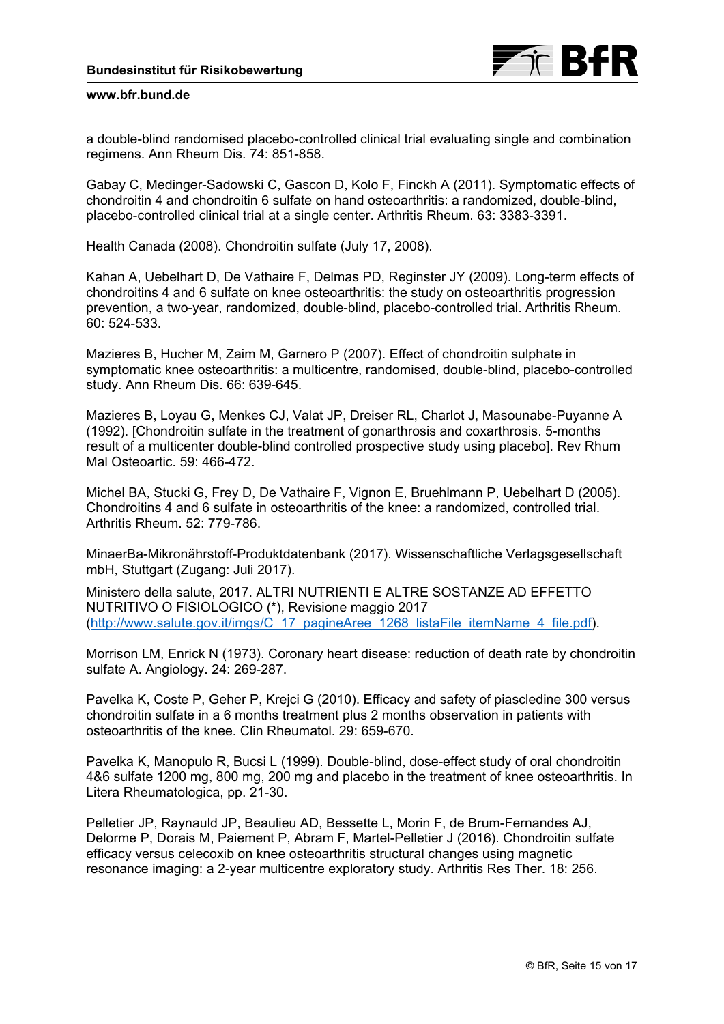a double-blind randomised placebo-controlled clinical trial evaluating single and combination regimens. Ann Rheum Dis. 74: 851-858.

Gabay C, Medinger-Sadowski C, Gascon D, Kolo F, Finckh A (2011). Symptomatic effects of chondroitin 4 and chondroitin 6 sulfate on hand osteoarthritis: a randomized, double-blind, placebo-controlled clinical trial at a single center. Arthritis Rheum. 63: 3383-3391.

Health Canada (2008). Chondroitin sulfate (July 17, 2008).

Kahan A, Uebelhart D, De Vathaire F, Delmas PD, Reginster JY (2009). Long-term effects of chondroitins 4 and 6 sulfate on knee osteoarthritis: the study on osteoarthritis progression prevention, a two-year, randomized, double-blind, placebo-controlled trial. Arthritis Rheum. 60: 524-533.

Mazieres B, Hucher M, Zaim M, Garnero P (2007). Effect of chondroitin sulphate in symptomatic knee osteoarthritis: a multicentre, randomised, double-blind, placebo-controlled study. Ann Rheum Dis. 66: 639-645.

Mazieres B, Loyau G, Menkes CJ, Valat JP, Dreiser RL, Charlot J, Masounabe-Puyanne A (1992). [Chondroitin sulfate in the treatment of gonarthrosis and coxarthrosis. 5-months result of a multicenter double-blind controlled prospective study using placebo]. Rev Rhum Mal Osteoartic. 59: 466-472.

Michel BA, Stucki G, Frey D, De Vathaire F, Vignon E, Bruehlmann P, Uebelhart D (2005). Chondroitins 4 and 6 sulfate in osteoarthritis of the knee: a randomized, controlled trial. Arthritis Rheum. 52: 779-786.

MinaerBa-Mikronährstoff-Produktdatenbank (2017). Wissenschaftliche Verlagsgesellschaft mbH, Stuttgart (Zugang: Juli 2017).

Ministero della salute, 2017. ALTRI NUTRIENTI E ALTRE SOSTANZE AD EFFETTO NUTRITIVO O FISIOLOGICO (\*), Revisione maggio 2017 ([http://www.salute.gov.it/imgs/C\\_17\\_pagineAree\\_1268\\_listaFile\\_itemName\\_4\\_file.pdf\).](http://www.salute.gov.it/imgs/C_17_pagineAree_1268_listaFile_itemName_4_file.pdf)

Morrison LM, Enrick N (1973). Coronary heart disease: reduction of death rate by chondroitin sulfate A. Angiology. 24: 269-287.

Pavelka K, Coste P, Geher P, Krejci G (2010). Efficacy and safety of piascledine 300 versus chondroitin sulfate in a 6 months treatment plus 2 months observation in patients with osteoarthritis of the knee. Clin Rheumatol. 29: 659-670.

Pavelka K, Manopulo R, Bucsi L (1999). Double-blind, dose-effect study of oral chondroitin 4&6 sulfate 1200 mg, 800 mg, 200 mg and placebo in the treatment of knee osteoarthritis. In Litera Rheumatologica, pp. 21-30.

Pelletier JP, Raynauld JP, Beaulieu AD, Bessette L, Morin F, de Brum-Fernandes AJ, Delorme P, Dorais M, Paiement P, Abram F, Martel-Pelletier J (2016). Chondroitin sulfate efficacy versus celecoxib on knee osteoarthritis structural changes using magnetic resonance imaging: a 2-year multicentre exploratory study. Arthritis Res Ther. 18: 256.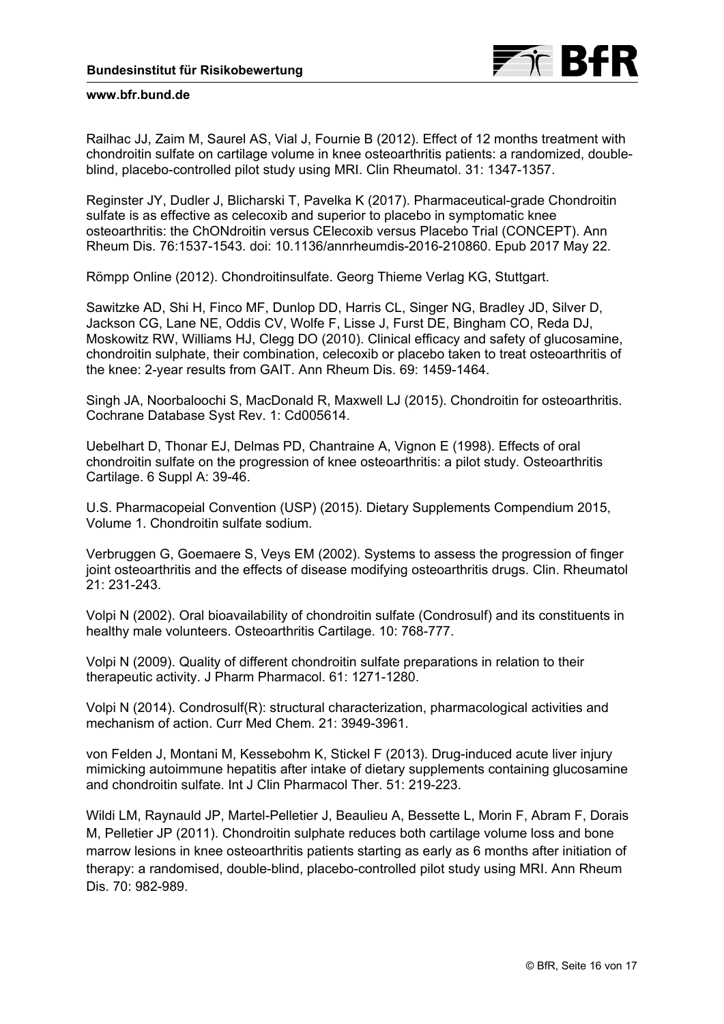Railhac JJ, Zaim M, Saurel AS, Vial J, Fournie B (2012). Effect of 12 months treatment with chondroitin sulfate on cartilage volume in knee osteoarthritis patients: a randomized, doubleblind, placebo-controlled pilot study using MRI. Clin Rheumatol. 31: 1347-1357.

Reginster JY, Dudler J, Blicharski T, Pavelka K (2017). Pharmaceutical-grade Chondroitin sulfate is as effective as celecoxib and superior to placebo in symptomatic knee osteoarthritis: the ChONdroitin versus CElecoxib versus Placebo Trial (CONCEPT). Ann Rheum Dis. 76:1537-1543. doi: 10.1136/annrheumdis-2016-210860. Epub 2017 May 22.

Römpp Online (2012). Chondroitinsulfate. Georg Thieme Verlag KG, Stuttgart.

Sawitzke AD, Shi H, Finco MF, Dunlop DD, Harris CL, Singer NG, Bradley JD, Silver D, Jackson CG, Lane NE, Oddis CV, Wolfe F, Lisse J, Furst DE, Bingham CO, Reda DJ, Moskowitz RW, Williams HJ, Clegg DO (2010). Clinical efficacy and safety of glucosamine, chondroitin sulphate, their combination, celecoxib or placebo taken to treat osteoarthritis of the knee: 2-year results from GAIT. Ann Rheum Dis. 69: 1459-1464.

Singh JA, Noorbaloochi S, MacDonald R, Maxwell LJ (2015). Chondroitin for osteoarthritis. Cochrane Database Syst Rev. 1: Cd005614.

Uebelhart D, Thonar EJ, Delmas PD, Chantraine A, Vignon E (1998). Effects of oral chondroitin sulfate on the progression of knee osteoarthritis: a pilot study. Osteoarthritis Cartilage. 6 Suppl A: 39-46.

U.S. Pharmacopeial Convention (USP) (2015). Dietary Supplements Compendium 2015, Volume 1. Chondroitin sulfate sodium.

Verbruggen G, Goemaere S, Veys EM (2002). Systems to assess the progression of finger joint osteoarthritis and the effects of disease modifying osteoarthritis drugs. Clin. Rheumatol 21: 231-243.

Volpi N (2002). Oral bioavailability of chondroitin sulfate (Condrosulf) and its constituents in healthy male volunteers. Osteoarthritis Cartilage. 10: 768-777.

Volpi N (2009). Quality of different chondroitin sulfate preparations in relation to their therapeutic activity. J Pharm Pharmacol. 61: 1271-1280.

Volpi N (2014). Condrosulf(R): structural characterization, pharmacological activities and mechanism of action. Curr Med Chem. 21: 3949-3961.

von Felden J, Montani M, Kessebohm K, Stickel F (2013). Drug-induced acute liver injury mimicking autoimmune hepatitis after intake of dietary supplements containing glucosamine and chondroitin sulfate. Int J Clin Pharmacol Ther. 51: 219-223.

Wildi LM, Raynauld JP, Martel-Pelletier J, Beaulieu A, Bessette L, Morin F, Abram F, Dorais M, Pelletier JP (2011). Chondroitin sulphate reduces both cartilage volume loss and bone marrow lesions in knee osteoarthritis patients starting as early as 6 months after initiation of therapy: a randomised, double-blind, placebo-controlled pilot study using MRI. Ann Rheum Dis. 70: 982-989.